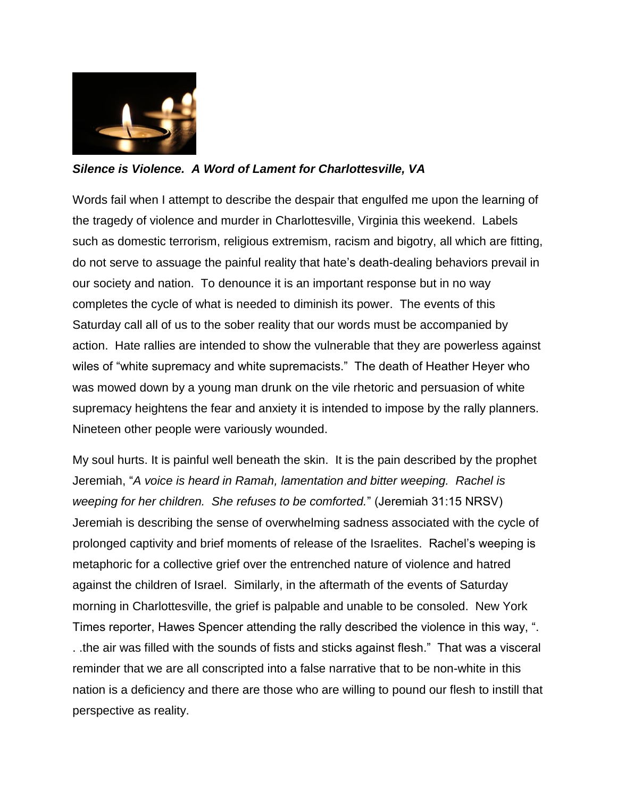

## *Silence is Violence. A Word of Lament for Charlottesville, VA*

Words fail when I attempt to describe the despair that engulfed me upon the learning of the tragedy of violence and murder in Charlottesville, Virginia this weekend. Labels such as domestic terrorism, religious extremism, racism and bigotry, all which are fitting, do not serve to assuage the painful reality that hate's death-dealing behaviors prevail in our society and nation. To denounce it is an important response but in no way completes the cycle of what is needed to diminish its power. The events of this Saturday call all of us to the sober reality that our words must be accompanied by action. Hate rallies are intended to show the vulnerable that they are powerless against wiles of "white supremacy and white supremacists." The death of Heather Heyer who was mowed down by a young man drunk on the vile rhetoric and persuasion of white supremacy heightens the fear and anxiety it is intended to impose by the rally planners. Nineteen other people were variously wounded.

My soul hurts. It is painful well beneath the skin. It is the pain described by the prophet Jeremiah, "*A voice is heard in Ramah, lamentation and bitter weeping. Rachel is weeping for her children. She refuses to be comforted.*" (Jeremiah 31:15 NRSV) Jeremiah is describing the sense of overwhelming sadness associated with the cycle of prolonged captivity and brief moments of release of the Israelites. Rachel's weeping is metaphoric for a collective grief over the entrenched nature of violence and hatred against the children of Israel. Similarly, in the aftermath of the events of Saturday morning in Charlottesville, the grief is palpable and unable to be consoled. New York Times reporter, Hawes Spencer attending the rally described the violence in this way, ". . .the air was filled with the sounds of fists and sticks against flesh." That was a visceral reminder that we are all conscripted into a false narrative that to be non-white in this nation is a deficiency and there are those who are willing to pound our flesh to instill that perspective as reality.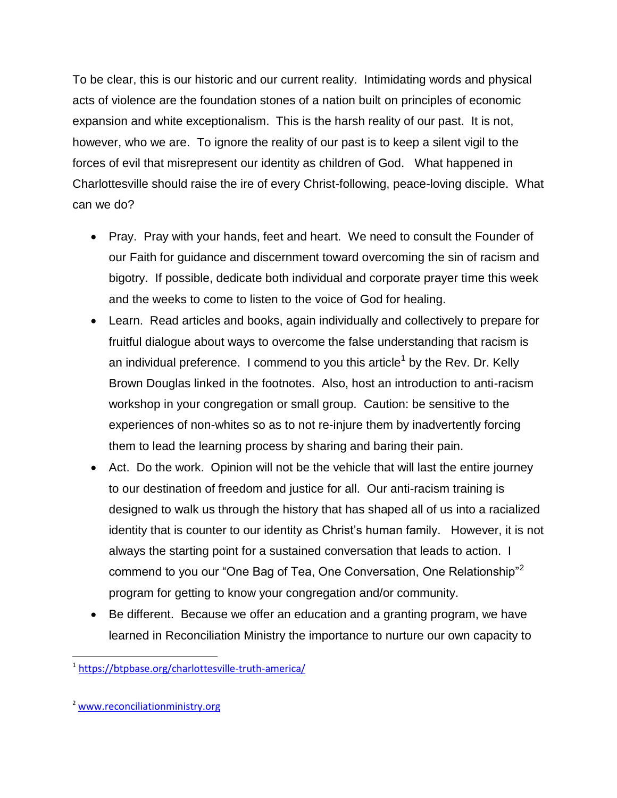To be clear, this is our historic and our current reality. Intimidating words and physical acts of violence are the foundation stones of a nation built on principles of economic expansion and white exceptionalism. This is the harsh reality of our past. It is not, however, who we are. To ignore the reality of our past is to keep a silent vigil to the forces of evil that misrepresent our identity as children of God. What happened in Charlottesville should raise the ire of every Christ-following, peace-loving disciple. What can we do?

- Pray. Pray with your hands, feet and heart. We need to consult the Founder of our Faith for guidance and discernment toward overcoming the sin of racism and bigotry. If possible, dedicate both individual and corporate prayer time this week and the weeks to come to listen to the voice of God for healing.
- Learn. Read articles and books, again individually and collectively to prepare for fruitful dialogue about ways to overcome the false understanding that racism is an individual preference. I commend to you this article<sup>1</sup> by the Rev. Dr. Kelly Brown Douglas linked in the footnotes. Also, host an introduction to anti-racism workshop in your congregation or small group. Caution: be sensitive to the experiences of non-whites so as to not re-injure them by inadvertently forcing them to lead the learning process by sharing and baring their pain.
- Act. Do the work. Opinion will not be the vehicle that will last the entire journey to our destination of freedom and justice for all. Our anti-racism training is designed to walk us through the history that has shaped all of us into a racialized identity that is counter to our identity as Christ's human family. However, it is not always the starting point for a sustained conversation that leads to action. I commend to you our "One Bag of Tea, One Conversation, One Relationship"<sup>2</sup> program for getting to know your congregation and/or community.
- Be different. Because we offer an education and a granting program, we have learned in Reconciliation Ministry the importance to nurture our own capacity to

 $\overline{\phantom{a}}$ 

<sup>1</sup> <https://btpbase.org/charlottesville-truth-america/>

<sup>2</sup> [www.reconciliationministry.org](http://www.reconciliationministry.org/)